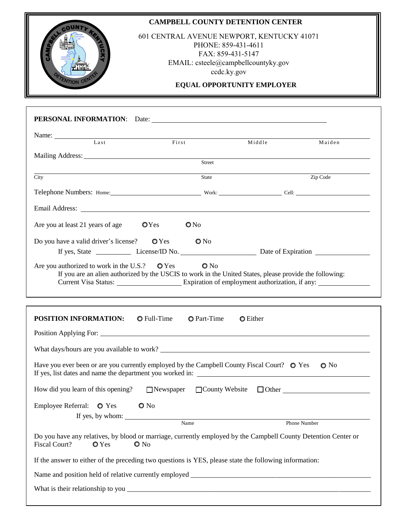|                                                                                                                                                                  | <b>CAMPBELL COUNTY DETENTION CENTER</b>    |                                                                                                |                          |
|------------------------------------------------------------------------------------------------------------------------------------------------------------------|--------------------------------------------|------------------------------------------------------------------------------------------------|--------------------------|
|                                                                                                                                                                  | 601 CENTRAL AVENUE NEWPORT, KENTUCKY 41071 | PHONE: 859-431-4611<br>FAX: 859-431-5147<br>EMAIL: csteele@campbellcountyky.gov<br>ccdc.ky.gov |                          |
| ENTION CE                                                                                                                                                        |                                            | EQUAL OPPORTUNITY EMPLOYER                                                                     |                          |
|                                                                                                                                                                  |                                            |                                                                                                |                          |
|                                                                                                                                                                  |                                            |                                                                                                |                          |
| Name:<br>Last                                                                                                                                                    | First                                      | Middle                                                                                         | Maiden                   |
|                                                                                                                                                                  | Street                                     |                                                                                                |                          |
|                                                                                                                                                                  |                                            |                                                                                                |                          |
| City                                                                                                                                                             | State                                      |                                                                                                | Zip Code                 |
| Telephone Numbers: Home: Work: Work: Cell: Cell: Cell:                                                                                                           |                                            |                                                                                                |                          |
|                                                                                                                                                                  |                                            |                                                                                                |                          |
| Are you at least 21 years of age $QY$ es                                                                                                                         | ON <sub>0</sub>                            |                                                                                                |                          |
| Do you have a valid driver's license? $QY$ es $QN$ o                                                                                                             |                                            |                                                                                                |                          |
|                                                                                                                                                                  |                                            |                                                                                                |                          |
| Are you authorized to work in the U.S.? $\bullet$ Yes<br>If you are an alien authorized by the USCIS to work in the United States, please provide the following: | $\mathbf{O}$ No                            |                                                                                                |                          |
| <b>POSITION INFORMATION:</b> O Full-Time O Part-Time                                                                                                             |                                            | <b>O</b> Either                                                                                |                          |
|                                                                                                                                                                  |                                            |                                                                                                |                          |
|                                                                                                                                                                  |                                            |                                                                                                |                          |
|                                                                                                                                                                  |                                            |                                                                                                |                          |
| Have you ever been or are you currently employed by the Campbell County Fiscal Court? $\bullet$ Yes                                                              |                                            |                                                                                                | $\bullet$ No             |
| How did you learn of this opening? $\Box$ Newspaper                                                                                                              |                                            |                                                                                                | □ County Website □ Other |
| Employee Referral: $\bullet$ Yes                                                                                                                                 | $\bullet$ No                               |                                                                                                |                          |
|                                                                                                                                                                  | If yes, by whom: Name                      |                                                                                                |                          |
|                                                                                                                                                                  |                                            |                                                                                                | Phone Number             |

If the answer to either of the preceding two questions is YES, please state the following information:

Name and position held of relative currently employed \_\_\_\_\_\_\_\_\_\_\_\_\_\_\_\_\_\_\_\_\_\_\_\_\_\_\_

What is their relationship to you \_\_\_\_\_\_\_\_\_\_\_\_\_\_\_\_\_\_\_\_\_\_\_\_\_\_\_\_\_\_\_\_\_\_\_\_\_\_\_\_\_\_\_\_\_\_\_\_\_\_\_\_\_\_\_\_\_\_\_\_\_\_\_\_\_\_\_\_\_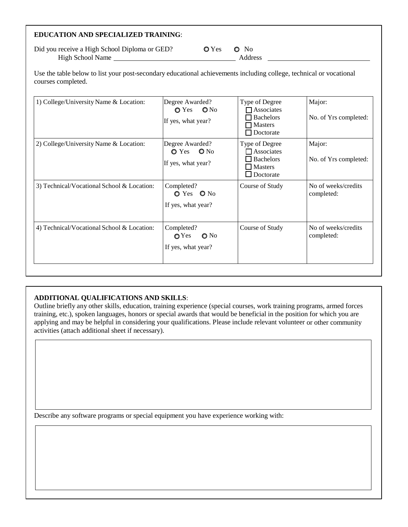# **EDUCATION AND SPECIALIZED TRAINING**:

Did you receive a High School Diploma or GED?  $QY$ es  $QN$ o High School Name Address

Use the table below to list your post-secondary educational achievements including college, technical or vocational courses completed.

| 1) College/University Name & Location:     | Degree Awarded?<br>$O Yes$ $ONo$<br>If yes, what year?                | Type of Degree<br>$\Box$ Associates<br>Bachelors<br>$\neg$ Masters<br>$\Box$ Doctorate | Major:<br>No. of Yrs completed:   |
|--------------------------------------------|-----------------------------------------------------------------------|----------------------------------------------------------------------------------------|-----------------------------------|
| 2) College/University Name & Location:     | Degree Awarded?<br>$Q$ Yes $Q$ No<br>If yes, what year?               | Type of Degree<br><b>Associates</b><br>Bachelors<br>$\Box$ Masters<br>$\Box$ Doctorate | Major:<br>No. of Yrs completed:   |
| 3) Technical/Vocational School & Location: | Completed?<br>$O Yes$ $O No$<br>If yes, what year?                    | Course of Study                                                                        | No of weeks/credits<br>completed: |
| 4) Technical/Vocational School & Location: | Completed?<br>$\bigcirc$ No<br>$\mathbf{O}$ Yes<br>If yes, what year? | Course of Study                                                                        | No of weeks/credits<br>completed: |

### **ADDITIONAL QUALIFICATIONS AND SKILLS**:

Outline briefly any other skills, education, training experience (special courses, work training programs, armed forces training, etc.), spoken languages, honors or special awards that would be beneficial in the position for which you are applying and may be helpful in considering your qualifications. Please include relevant volunteer or other community activities (attach additional sheet if necessary).

Describe any software programs or special equipment you have experience working with: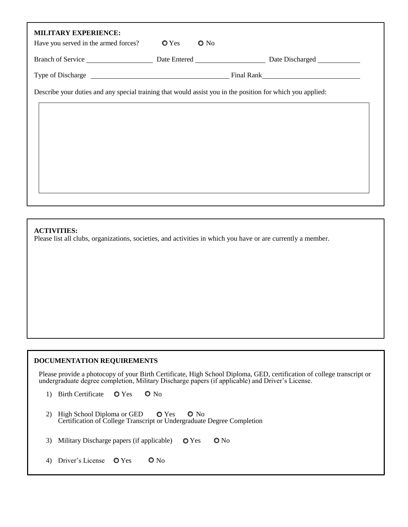| <b>MILITARY EXPERIENCE:</b><br>Have you served in the armed forces?                                        | $\bullet$ Yes | $\bullet$ No |  |
|------------------------------------------------------------------------------------------------------------|---------------|--------------|--|
|                                                                                                            |               |              |  |
|                                                                                                            |               |              |  |
| Describe your duties and any special training that would assist you in the position for which you applied: |               |              |  |
|                                                                                                            |               |              |  |
|                                                                                                            |               |              |  |
|                                                                                                            |               |              |  |
|                                                                                                            |               |              |  |
|                                                                                                            |               |              |  |
|                                                                                                            |               |              |  |

### **ACTIVITIES:**

Please list all clubs, organizations, societies, and activities in which you have or are currently a member.

### **DOCUMENTATION REQUIREMENTS**

Please provide a photocopy of your Birth Certificate, High School Diploma, GED, certification of college transcript or undergraduate degree completion, Military Discharge papers (if applicable) and Driver's License.

- 1) Birth Certificate  $\bullet$  Yes  $\bullet$  No
- 2) High School Diploma or GED  $\bullet$  Yes  $\bullet$  No Certification of College Transcript or Undergraduate Degree Completion
- 3) Military Discharge papers (if applicable)  $\bullet$  Yes  $\bullet$  No
- 4) Driver's License  $\bullet$  Yes  $\bullet$  No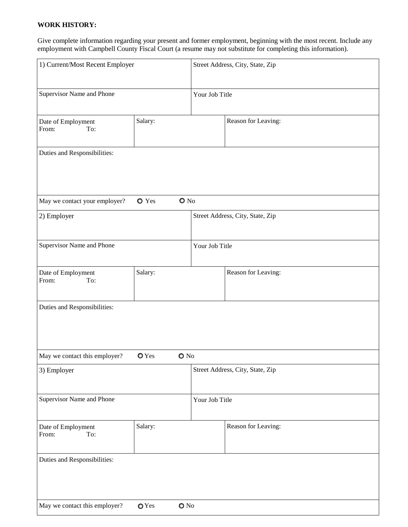## **WORK HISTORY:**

Give complete information regarding your present and former employment, beginning with the most recent. Include any employment with Campbell County Fiscal Court (a resume may not substitute for completing this information).

| 1) Current/Most Recent Employer    |                  |                | Street Address, City, State, Zip |  |
|------------------------------------|------------------|----------------|----------------------------------|--|
| Supervisor Name and Phone          |                  | Your Job Title |                                  |  |
| Date of Employment<br>From:<br>To: | Salary:          |                | Reason for Leaving:              |  |
| Duties and Responsibilities:       |                  |                |                                  |  |
| May we contact your employer?      | O Yes            | $\bullet$ No   |                                  |  |
| 2) Employer                        |                  |                | Street Address, City, State, Zip |  |
| Supervisor Name and Phone          |                  | Your Job Title |                                  |  |
| Date of Employment<br>From:<br>To: | Salary:          |                | Reason for Leaving:              |  |
| Duties and Responsibilities:       |                  |                |                                  |  |
| May we contact this employer?      | $\mathbf{O}$ Yes | $\bullet$ No   |                                  |  |
| 3) Employer                        |                  |                | Street Address, City, State, Zip |  |
| Supervisor Name and Phone          |                  | Your Job Title |                                  |  |
| Date of Employment<br>From:<br>To: | Salary:          |                | Reason for Leaving:              |  |
| Duties and Responsibilities:       |                  |                |                                  |  |
| May we contact this employer?      | $\mathbf{O}$ Yes | $\bullet$ No   |                                  |  |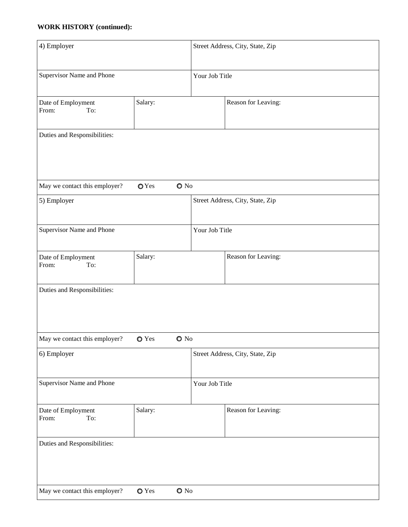## **WORK HISTORY (continued):**

| 4) Employer                        |                  |                | Street Address, City, State, Zip |  |  |
|------------------------------------|------------------|----------------|----------------------------------|--|--|
| Supervisor Name and Phone          |                  | Your Job Title |                                  |  |  |
| Date of Employment<br>From:<br>To: | Salary:          |                | Reason for Leaving:              |  |  |
| Duties and Responsibilities:       |                  |                |                                  |  |  |
| May we contact this employer?      | $\mathbf{O}$ Yes | $\bullet$ No   |                                  |  |  |
| 5) Employer                        |                  |                | Street Address, City, State, Zip |  |  |
| Supervisor Name and Phone          |                  | Your Job Title |                                  |  |  |
| Date of Employment<br>From:<br>To: | Salary:          |                | Reason for Leaving:              |  |  |
| Duties and Responsibilities:       |                  |                |                                  |  |  |
| May we contact this employer?      | <b>○</b> Yes     | $\bullet$ No   |                                  |  |  |
| 6) Employer                        |                  |                | Street Address, City, State, Zip |  |  |
| Supervisor Name and Phone          |                  | Your Job Title |                                  |  |  |
| Date of Employment<br>From:<br>To: | Salary:          |                | Reason for Leaving:              |  |  |
| Duties and Responsibilities:       |                  |                |                                  |  |  |
| May we contact this employer?      | O Yes            | $\bullet$ No   |                                  |  |  |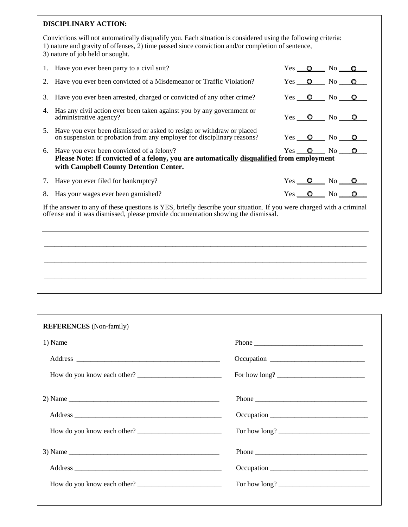### **DISCIPLINARY ACTION:**

Convictions will not automatically disqualify you. Each situation is considered using the following criteria: 1) nature and gravity of offenses, 2) time passed since conviction and/or completion of sentence, 3) nature of job held or sought.

|                                                                                                                                                                                                           | 1. Have you ever been party to a civil suit?                                                                                                                                        |  |  | $Yes$ O No O                   |  |
|-----------------------------------------------------------------------------------------------------------------------------------------------------------------------------------------------------------|-------------------------------------------------------------------------------------------------------------------------------------------------------------------------------------|--|--|--------------------------------|--|
|                                                                                                                                                                                                           | 2. Have you ever been convicted of a Misdemeanor or Traffic Violation?                                                                                                              |  |  | $Yes$ $\bullet$ $No$ $\bullet$ |  |
|                                                                                                                                                                                                           | 3. Have you ever been arrested, charged or convicted of any other crime?                                                                                                            |  |  | $Yes$ $\bullet$ $No$ $\bullet$ |  |
| 4.                                                                                                                                                                                                        | Has any civil action ever been taken against you by any government or<br>administrative agency?                                                                                     |  |  |                                |  |
| 5.                                                                                                                                                                                                        | Have you ever been dismissed or asked to resign or withdraw or placed<br>on suspension or probation from any employer for disciplinary reasons?                                     |  |  |                                |  |
|                                                                                                                                                                                                           | 6. Have you ever been convicted of a felony?<br>Please Note: If convicted of a felony, you are automatically disqualified from employment<br>with Campbell County Detention Center. |  |  | $Yes$ $\bullet$ $No$ $\bullet$ |  |
|                                                                                                                                                                                                           | 7. Have you ever filed for bankruptcy?                                                                                                                                              |  |  |                                |  |
|                                                                                                                                                                                                           | 8. Has your wages ever been garnished?                                                                                                                                              |  |  | $Yes$ $\bullet$ $No$ $\bullet$ |  |
| If the answer to any of these questions is YES, briefly describe your situation. If you were charged with a criminal<br>offense and it was dismissed, please provide documentation showing the dismissal. |                                                                                                                                                                                     |  |  |                                |  |

 $\_$  ,  $\_$  ,  $\_$  ,  $\_$  ,  $\_$  ,  $\_$  ,  $\_$  ,  $\_$  ,  $\_$  ,  $\_$  ,  $\_$  ,  $\_$  ,  $\_$  ,  $\_$  ,  $\_$  ,  $\_$  ,  $\_$  ,  $\_$  ,  $\_$  ,  $\_$  ,  $\_$  ,  $\_$  ,  $\_$  ,  $\_$  ,  $\_$  ,  $\_$  ,  $\_$  ,  $\_$  ,  $\_$  ,  $\_$  ,  $\_$  ,  $\_$  ,  $\_$  ,  $\_$  ,  $\_$  ,  $\_$  ,  $\_$  ,

 $\_$  ,  $\_$  ,  $\_$  ,  $\_$  ,  $\_$  ,  $\_$  ,  $\_$  ,  $\_$  ,  $\_$  ,  $\_$  ,  $\_$  ,  $\_$  ,  $\_$  ,  $\_$  ,  $\_$  ,  $\_$  ,  $\_$  ,  $\_$  ,  $\_$  ,  $\_$  ,  $\_$  ,  $\_$  ,  $\_$  ,  $\_$  ,  $\_$  ,  $\_$  ,  $\_$  ,  $\_$  ,  $\_$  ,  $\_$  ,  $\_$  ,  $\_$  ,  $\_$  ,  $\_$  ,  $\_$  ,  $\_$  ,  $\_$  ,

 $\_$  ,  $\_$  ,  $\_$  ,  $\_$  ,  $\_$  ,  $\_$  ,  $\_$  ,  $\_$  ,  $\_$  ,  $\_$  ,  $\_$  ,  $\_$  ,  $\_$  ,  $\_$  ,  $\_$  ,  $\_$  ,  $\_$  ,  $\_$  ,  $\_$  ,  $\_$  ,  $\_$  ,  $\_$  ,  $\_$  ,  $\_$  ,  $\_$  ,  $\_$  ,  $\_$  ,  $\_$  ,  $\_$  ,  $\_$  ,  $\_$  ,  $\_$  ,  $\_$  ,  $\_$  ,  $\_$  ,  $\_$  ,  $\_$  ,

| <b>REFERENCES</b> (Non-family)      |       |
|-------------------------------------|-------|
| 1) Name $\overline{\qquad \qquad }$ |       |
|                                     |       |
| How do you know each other?         |       |
|                                     |       |
|                                     |       |
|                                     |       |
|                                     | Phone |
|                                     |       |
|                                     |       |
|                                     |       |